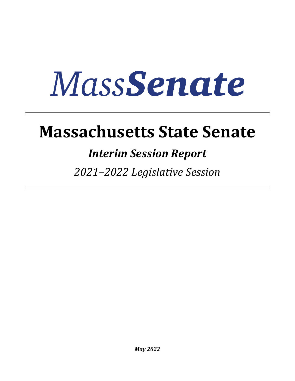## **Massachusetts State Senate**

### *Interim Session Report*

*2021–2022 Legislative Session*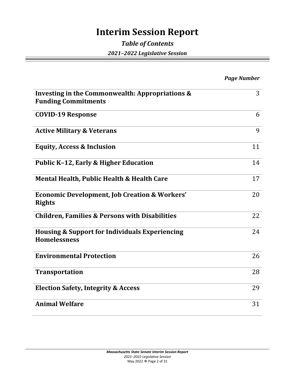### **Interim Session Report**

#### *Table of Contents 2021–2022 Legislative Session*

|                                                                                  | <b>Page Number</b> |
|----------------------------------------------------------------------------------|--------------------|
| Investing in the Commonwealth: Appropriations &<br><b>Funding Commitments</b>    | 3                  |
| <b>COVID-19 Response</b>                                                         | 6                  |
| <b>Active Military &amp; Veterans</b>                                            | 9                  |
| <b>Equity, Access &amp; Inclusion</b>                                            | 11                 |
| <b>Public K-12, Early &amp; Higher Education</b>                                 | 14                 |
| Mental Health, Public Health & Health Care                                       | 17                 |
| <b>Economic Development, Job Creation &amp; Workers'</b><br><b>Rights</b>        | 20                 |
| <b>Children, Families &amp; Persons with Disabilities</b>                        | 22                 |
| <b>Housing &amp; Support for Individuals Experiencing</b><br><b>Homelessness</b> | 24                 |
| <b>Environmental Protection</b>                                                  | 26                 |
| <b>Transportation</b>                                                            | 28                 |
| <b>Election Safety, Integrity &amp; Access</b>                                   | 29                 |
| <b>Animal Welfare</b>                                                            | 31                 |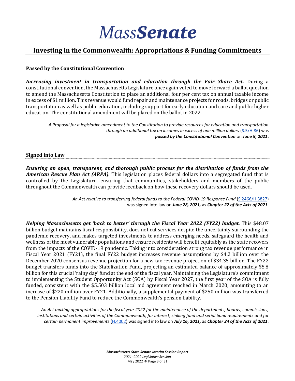#### **Investing in the Commonwealth: Appropriations & Funding Commitments**

#### **Passed by the Constitutional Convention**

*Increasing investment in transportation and education through the Fair Share Act.* During a constitutional convention, the Massachusetts Legislature once again voted to move forward a ballot question to amend the Massachusetts Constitution to place an additional four per cent tax on annual taxable income in excess of \$1 million. This revenue would fund repair and maintenance projects for roads, bridges or public transportation as well as public education, including support for early education and care and public higher education. The constitutional amendment will be placed on the ballot in 2022.

*A Proposal for a legislative amendment to the Constitution to provide resources for education and transportation through an additional tax on incomes in excess of one million dollars* [\(S.5/H.86\)](https://malegislature.gov/Bills/192/S5) was *passed by the Constitutional Convention* on *June 9, 2021***.**

#### **Signed into Law**

*Ensuring an open, transparent, and thorough public process for the distribution of funds from the American Rescue Plan Act (ARPA).* This legislation places federal dollars into a segregated fund that is controlled by the Legislature, ensuring that communities, stakeholders and members of the public throughout the Commonwealth can provide feedback on how these recovery dollars should be used.

> *An Act relative to transferring federal funds to the Federal COVID-19 Response Fund* [\(S.2466/H.3827\)](https://malegislature.gov/Bills/192/H3827) was signed into law on *June 28, 2021,* as *Chapter 22 of the Acts of 2021*.

*Helping Massachusetts get 'back to better' through the Fiscal Year 2022 (FY22) budget.* This \$48.07 billion budget maintains fiscal responsibility, does not cut services despite the uncertainty surrounding the pandemic recovery, and makes targeted investments to address emerging needs, safeguard the health and wellness of the most vulnerable populations and ensure residents will benefit equitably as the state recovers from the impacts of the COVID-19 pandemic. Taking into consideration strong tax revenue performance in Fiscal Year 2021 (FY21), the final FY22 budget increases revenue assumptions by \$4.2 billion over the December 2020 consensus revenue projection for a new tax revenue projection of \$34.35 billion. The FY22 budget transfers funds into the Stabilization Fund, projecting an estimated balance of approximately \$5.8 billion for this crucial 'rainy day' fund at the end of the fiscal year. Maintaining the Legislature's commitment to implementing the Student Opportunity Act (SOA) by Fiscal Year 2027, the first year of the SOA is fully funded, consistent with the \$5.503 billion local aid agreement reached in March 2020, amounting to an increase of \$220 million over FY21. Additionally, a supplemental payment of \$250 million was transferred to the Pension Liability Fund to reduce the Commonwealth's pension liability.

*An Act making appropriations for the fiscal year 2022 for the maintenance of the departments, boards, commissions, institutions and certain activities of the Commonwealth, for interest, sinking fund and serial bond requirements and for certain permanent improvements* [\(H.4002\)](https://malegislature.gov/Budget/ConferenceCommittee) was signed into law on *July 16, 2021,* as *Chapter 24 of the Acts of 2021*.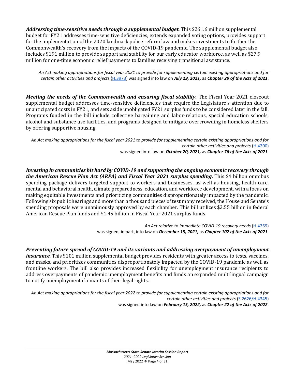*Addressing time-sensitive needs through a supplemental budget.* This \$261.6 million supplemental budget for FY21 addresses time-sensitive deficiencies, extends expanded voting options, provides support for the implementation of the 2020 landmark police reform law and makes investments to further the Commonwealth's recovery from the impacts of the COVID-19 pandemic. The supplemental budget also includes \$191 million to provide support and stability for our early educator workforce, as well as \$27.9 million for one-time economic relief payments to families receiving transitional assistance.

*An Act making appropriations for fiscal year 2021 to provide for supplementing certain existing appropriations and for certain other activities and projects* [\(H.3973\)](https://malegislature.gov/Bills/192/H3973) was signed into law on *July 29, 2021,* as *Chapter 29 of the Acts of 2021*.

*Meeting the needs of the Commonwealth and ensuring fiscal stability.* The Fiscal Year 2021 closeout supplemental budget addresses time-sensitive deficiencies that require the Legislature's attention due to unanticipated costs in FY21, and sets aside unobligated FY21 surplus funds to be considered later in the fall. Programs funded in the bill include collective bargaining and labor-relations, special education schools, alcohol and substance use facilities, and programs designed to mitigate overcrowding in homeless shelters by offering supportive housing.

*An Act making appropriations for the fiscal year 2021 to provide for supplementing certain existing appropriations and for certain other activities and projects* [\(H.4200\)](https://malegislature.gov/Bills/192/H4200) was signed into law on *October 20, 2021,* as *Chapter 76 of the Acts of 2021*.

*Investing in communities hit hard by COVID-19 and supporting the ongoing economic recovery through the American Rescue Plan Act (ARPA) and Fiscal Year 2021 surplus spending.* This \$4 billion omnibus spending package delivers targeted support to workers and businesses, as well as housing, health care, mental and behavioral health, climate preparedness, education, and workforce development, with a focus on making equitable investments and prioritizing communities disproportionately impacted by the pandemic. Following six public hearings and more than a thousand pieces of testimony received, the House and Senate's spending proposals were unanimously approved by each chamber. This bill utilizes \$2.55 billion in federal American Rescue Plan funds and \$1.45 billion in Fiscal Year 2021 surplus funds.

> *An Act relative to immediate COVID-19 recovery needs* [\(H.4269\)](https://malegislature.gov/Bills/192/H4269) was signed, in part, into law on *December 13, 2021,* as *Chapter 102 of the Acts of 2021*.

*Preventing future spread of COVID-19 and its variants and addressing overpayment of unemployment insurance.* This \$101 million supplemental budget provides residents with greater access to tests, vaccines, and masks, and prioritizes communities disproportionately impacted by the COVID-19 pandemic as well as frontline workers. The bill also provides increased flexibility for unemployment insurance recipients to address overpayments of pandemic unemployment benefits and funds an expanded multilingual campaign to notify unemployment claimants of their legal rights.

*An Act making appropriations for the fiscal year 2022 to provide for supplementing certain existing appropriations and for certain other activities and projects* [\(S.2626/H.4345\)](https://malegislature.gov/Bills/192/H4345) was signed into law on *February 15, 2022,* as *Chapter 22 of the Acts of 2022*.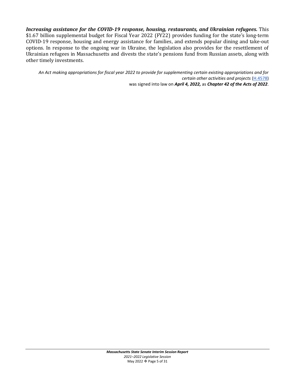*Increasing assistance for the COVID-19 response, housing, restaurants, and Ukrainian refugees.* This \$1.67 billion supplemental budget for Fiscal Year 2022 (FY22) provides funding for the state's long-term COVID-19 response, housing and energy assistance for families, and extends popular dining and take-out options. In response to the ongoing war in Ukraine, the legislation also provides for the resettlement of Ukrainian refugees in Massachusetts and divests the state's pensions fund from Russian assets, along with other timely investments.

*An Act making appropriations for fiscal year 2022 to provide for supplementing certain existing appropriations and for certain other activities and projects* [\(H.4578\)](https://malegislature.gov/Bills/192/H4578) was signed into law on *April 4, 2022,* as *Chapter 42 of the Acts of 2022*.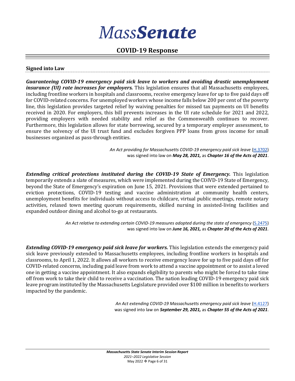#### **COVID-19 Response**

#### **Signed into Law**

*Guaranteeing COVID-19 emergency paid sick leave to workers and avoiding drastic unemployment insurance (UI) rate increases for employers.* This legislation ensures that all Massachusetts employees, including frontline workers in hospitals and classrooms, receive emergency leave for up to five paid days off for COVID-related concerns. For unemployed workers whose income falls below 200 per cent of the poverty line, this legislation provides targeted relief by waiving penalties for missed tax payments on UI benefits received in 2020. For employers, this bill prevents increases in the UI rate schedule for 2021 and 2022, providing employers with needed stability and relief as the Commonwealth continues to recover. Furthermore, this legislation allows for state borrowing, secured by a temporary employer assessment, to ensure the solvency of the UI trust fund and excludes forgiven PPP loans from gross income for small businesses organized as pass-through entities.

> *An Act providing for Massachusetts COVID-19 emergency paid sick leave* [\(H.3702\)](https://malegislature.gov/Bills/192/H3702) was signed into law on *May 28, 2021,* as *Chapter 16 of the Acts of 2021*.

**Extending critical protections instituted during the COVID-19 State of Emergency.** This legislation temporarily extends a slate of measures, which were implemented during the COIVD-19 State of Emergency, beyond the State of Emergency's expiration on June 15, 2021. Provisions that were extended pertained to eviction protections, COVID-19 testing and vaccine administration at community health centers, unemployment benefits for individuals without access to childcare, virtual public meetings, remote notary activities, relaxed town meeting quorum requirements, skilled nursing in assisted-living facilities and expanded outdoor dining and alcohol to-go at restaurants.

> *An Act relative to extending certain COVID-19 measures adopted during the state of emergency* [\(S.2475\)](https://malegislature.gov/Bills/192/S2475) was signed into law on *June 16, 2021,* as *Chapter 20 of the Acts of 2021.*

*Extending COVID-19 emergency paid sick leave for workers.* This legislation extends the emergency paid sick leave previously extended to Massachusetts employees, including frontline workers in hospitals and classrooms, to April 1, 2022. It allows all workers to receive emergency leave for up to five paid days off for COVID-related concerns, including paid leave from work to attend a vaccine appointment or to assist a loved one in getting a vaccine appointment. It also expands eligibility to parents who might be forced to take time off from work to take their child to receive a vaccination. The nation leading COVID-19 emergency paid sick leave program instituted by the Massachusetts Legislature provided over \$100 million in benefits to workers impacted by the pandemic.

> *An Act extending COVID-19 Massachusetts emergency paid sick leave* [\(H.4127\)](https://malegislature.gov/Bills/192/H4127) was signed into law on *September 29, 2021,* as *Chapter 55 of the Acts of 2021*.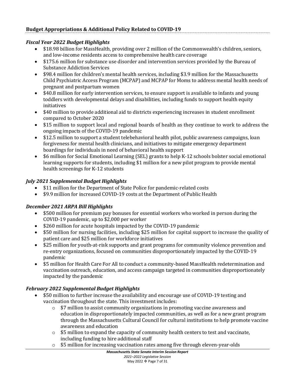#### *Fiscal Year 2022 Budget Highlights*

- \$18.98 billion for MassHealth, providing over 2 million of the Commonwealth's children, seniors, and low-income residents access to comprehensive health care coverage
- \$175.6 million for substance use disorder and intervention services provided by the Bureau of Substance Addiction Services
- \$98.4 million for children's mental health services, including \$3.9 million for the Massachusetts Child Psychiatric Access Program (MCPAP) and MCPAP for Moms to address mental health needs of pregnant and postpartum women
- \$40.8 million for early intervention services, to ensure support is available to infants and young toddlers with developmental delays and disabilities, including funds to support health equity initiatives
- \$40 million to provide additional aid to districts experiencing increases in student enrollment compared to October 2020
- \$15 million to support local and regional boards of health as they continue to work to address the ongoing impacts of the COVID-19 pandemic
- \$12.5 million to support a student telebehavioral health pilot, public awareness campaigns, loan forgiveness for mental health clinicians, and initiatives to mitigate emergency department boardings for individuals in need of behavioral health support
- \$6 million for Social Emotional Learning (SEL) grants to help K-12 schools bolster social emotional learning supports for students, including \$1 million for a new pilot program to provide mental health screenings for K-12 students

#### *July 2021 Supplemental Budget Highlights*

- \$11 million for the Department of State Police for pandemic-related costs
- \$9.9 million for increased COVID-19 costs at the Department of Public Health

#### *December 2021 ARPA Bill Highlights*

- \$500 million for premium pay bonuses for essential workers who worked in person during the COVID-19 pandemic, up to \$2,000 per worker
- \$260 million for acute hospitals impacted by the COVID-19 pandemic
- \$50 million for nursing facilities, including \$25 million for capital support to increase the quality of patient care and \$25 million for workforce initiatives
- \$25 million for youth-at-risk supports and grant programs for community violence prevention and re-entry organizations, focused on communities disproportionately impacted by the COVID-19 pandemic
- \$5 million for Health Care For All to conduct a community-based MassHealth redetermination and vaccination outreach, education, and access campaign targeted in communities disproportionately impacted by the pandemic

#### *February 2022 Supplemental Budget Highlights*

- \$50 million to further increase the availability and encourage use of COVID-19 testing and vaccination throughout the state. This investment includes:
	- $\circ$  \$7 million to assist community organizations in promoting vaccine awareness and education in disproportionately impacted communities, as well as for a new grant program through the Massachusetts Cultural Council for cultural institutions to help promote vaccine awareness and education
	- $\circ$  \$5 million to expand the capacity of community health centers to test and vaccinate, including funding to hire additional staff
	- $\circ$  \$5 million for increasing vaccination rates among five through eleven-year-olds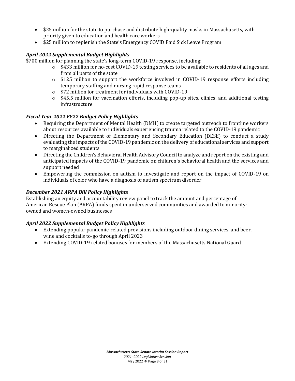- \$25 million for the state to purchase and distribute high-quality masks in Massachusetts, with priority given to education and health care workers
- \$25 million to replenish the State's Emergency COVID Paid Sick Leave Program

#### *April 2022 Supplemental Budget Highlights*

\$700 million for planning the state's long-term COVID-19 response, including:

- $\circ$  \$433 million for no-cost COVID-19 testing services to be available to residents of all ages and from all parts of the state
- o \$125 million to support the workforce involved in COVID-19 response efforts including temporary staffing and nursing rapid response teams
- o \$72 million for treatment for individuals with COVID-19
- $\circ$  \$45.5 million for vaccination efforts, including pop-up sites, clinics, and additional testing infrastructure

#### *Fiscal Year 2022 FY22 Budget Policy Highlights*

- Requiring the Department of Mental Health (DMH) to create targeted outreach to frontline workers about resources available to individuals experiencing trauma related to the COVID-19 pandemic
- Directing the Department of Elementary and Secondary Education (DESE) to conduct a study evaluating the impacts of the COVID-19 pandemic on the delivery of educational services and support to marginalized students
- Directing the Children's Behavioral Health Advisory Council to analyze and report on the existing and anticipated impacts of the COVID-19 pandemic on children's behavioral health and the services and support needed
- Empowering the commission on autism to investigate and report on the impact of COVID-19 on individuals of color who have a diagnosis of autism spectrum disorder

#### *December 2021 ARPA Bill Policy Highlights*

Establishing an equity and accountability review panel to track the amount and percentage of American Rescue Plan (ARPA) funds spent in underserved communities and awarded to minorityowned and women-owned businesses

#### *April 2022 Supplemental Budget Policy Highlights*

- Extending popular pandemic-related provisions including outdoor dining services, and beer, wine and cocktails to-go through April 2023
- Extending COVID-19 related bonuses for members of the Massachusetts National Guard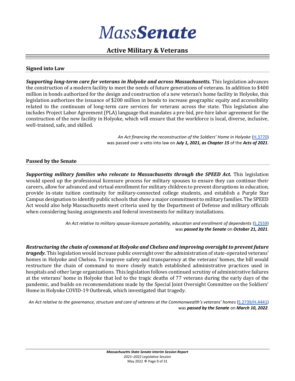#### **Active Military & Veterans**

#### **Signed into Law**

*Supporting long-term care for veterans in Holyoke and across Massachusetts.* This legislation advances the construction of a modern facility to meet the needs of future generations of veterans. In addition to \$400 million in bonds authorized for the design and construction of a new veteran's home facility in Holyoke, this legislation authorizes the issuance of \$200 million in bonds to increase geographic equity and accessibility related to the continuum of long-term care services for veterans across the state. This legislation also includes Project Labor Agreement (PLA) language that mandates a pre-bid, pre-hire labor agreement for the construction of the new facility in Holyoke, which will ensure that the workforce is local, diverse, inclusive, well-trained, safe, and skilled.

> *An Act financing the reconstruction of the Soldiers' Home in Holyoke* [\(H.3770\)](https://malegislature.gov/Bills/192/H3770) was passed over a veto into law on *July 1, 2021, as Chapter 15* of the *Acts of 2021*.

#### **Passed by the Senate**

*Supporting military families who relocate to Massachusetts through the SPEED Act.* This legislation would speed up the professional licensure process for military spouses to ensure they can continue their careers, allow for advanced and virtual enrollment for military children to prevent disruptions in education, provide in-state tuition continuity for military-connected college students, and establish a Purple Star Campus designation to identify public schools that show a major commitment to military families. The SPEED Act would also help Massachusetts meet criteria used by the Department of Defense and military officials when considering basing assignments and federal investments for military installations.

> *An Act relative to military spouse-licensure portability, education and enrollment of dependents* [\(S.2559\)](https://malegislature.gov/Bills/192/S2559) was *passed by the Senate* on *October 21, 2021.*

*Restructuring the chain of command at Holyoke and Chelsea and improving oversight to prevent future tragedy.* This legislation would increase public oversight over the administration of state-operated veterans' homes in Holyoke and Chelsea. To improve safety and transparency at the veterans' homes, the bill would restructure the chain of command to more closely match established administrative practices used in hospitals and other large organizations. This legislation follows continued scrutiny of administrative failures at the veterans' home in Holyoke that led to the tragic deaths of 77 veterans during the early days of the pandemic, and builds on recommendations made by the Special Joint Oversight Committee on the Soldiers' Home in Holyoke COVID-19 Outbreak, which investigated that tragedy.

*An Act relative to the governance, structure and care of veterans at the Commonwealth's veterans' homes* [\(S.2739/H.4441\)](https://malegislature.gov/Bills/192/H4441) was *passed by the Senate* on *March 10, 2022.*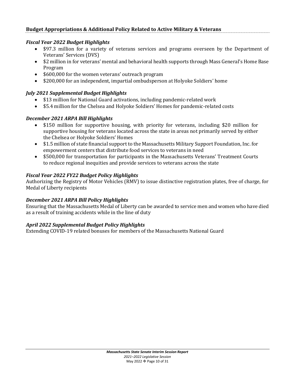#### *Fiscal Year 2022 Budget Highlights*

- \$97.3 million for a variety of veterans services and programs overseen by the Department of Veterans' Services (DVS)
- \$2 million in for veterans' mental and behavioral health supports through Mass General's Home Base Program
- \$600,000 for the women veterans' outreach program
- \$200,000 for an independent, impartial ombudsperson at Holyoke Soldiers' home

#### *July 2021 Supplemental Budget Highlights*

- \$13 million for National Guard activations, including pandemic-related work
- \$5.4 million for the Chelsea and Holyoke Soldiers' Homes for pandemic-related costs

#### *December 2021 ARPA Bill Highlights*

- \$150 million for supportive housing, with priority for veterans, including \$20 million for supportive housing for veterans located across the state in areas not primarily served by either the Chelsea or Holyoke Soldiers' Homes
- \$1.5 million of state financial support to the Massachusetts Military Support Foundation, Inc. for empowerment centers that distribute food services to veterans in need
- \$500,000 for transportation for participants in the Massachusetts Veterans' Treatment Courts to reduce regional inequities and provide services to veterans across the state

#### *Fiscal Year 2022 FY22 Budget Policy Highlights*

Authorizing the Registry of Motor Vehicles (RMV) to issue distinctive registration plates, free of charge, for Medal of Liberty recipients

#### *December 2021 ARPA Bill Policy Highlights*

Ensuring that the Massachusetts Medal of Liberty can be awarded to service men and women who have died as a result of training accidents while in the line of duty

#### *April 2022 Supplemental Budget Policy Highlights*

Extending COVID-19 related bonuses for members of the Massachusetts National Guard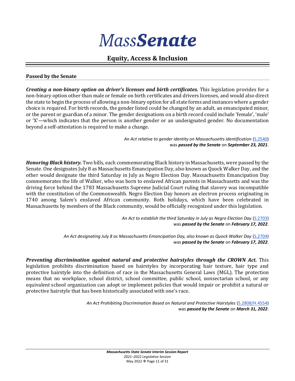#### **Equity, Access & Inclusion**

#### **Passed by the Senate**

*Creating a non-binary option on driver's licenses and birth certificates.* This legislation provides for a non-binary option other than male or female on birth certificates and drivers licenses, and would also direct the state to begin the process of allowing a non-binary option for all state forms and instances where a gender choice is required. For birth records, the gender listed could be changed by an adult, an emancipated minor, or the parent or guardian of a minor. The gender designations on a birth record could include 'female', 'male' or 'X'—which indicates that the person is another gender or an undesignated gender. No documentation beyond a self-attestation is required to make a change.

> *An Act relative to gender identity on Massachusetts identification* [\(S.2540\)](https://malegislature.gov/Bills/192/S2540) was *passed by the Senate* on *September 23, 2021*.

*Honoring Black history.* Two bills, each commemorating Black history in Massachusetts, were passed by the Senate. One designates July 8 as Massachusetts Emancipation Day, also known as Quock Walker Day, and the other would designate the third Saturday in July as Negro Election Day. Massachusetts Emancipation Day commemorates the life of Walker, who was born to enslaved African parents in Massachusetts and was the driving force behind the 1783 Massachusetts Supreme Judicial Court ruling that slavery was incompatible with the constitution of the Commonwealth. Negro Election Day honors an electron process originating in 1740 among Salem's enslaved African community. Both holidays, which have been celebrated in Massachusetts by members of the Black community, would be officially recognized under this legislation.

> *An Act to establish the third Saturday in July as Negro Election Day* [\(S.2703\)](https://malegislature.gov/Bills/192/S2703) was *passed by the Senate* on *February 17, 2022*.

*An Act designating July 8 as Massachusetts Emancipation Day, also known as Quock Walker Day* [\(S.2704\)](https://malegislature.gov/Bills/192/S2704) was *passed by the Senate* on *February 17, 2022*.

*Preventing discrimination against natural and protective hairstyles through the CROWN Act.* This legislation prohibits discrimination based on hairstyles by incorporating hair texture, hair type and protective hairstyle into the definition of race in the Massachusetts General Laws (MGL). The protection means that no workplace, school district, school committee, public school, nonsectarian school, or any equivalent school organization can adopt or implement policies that would impair or prohibit a natural or protective hairstyle that has been historically associated with one's race.

> *An Act Prohibiting Discrimination Based on Natural and Protective Hairstyles* [\(S.2808/H.4554\)](https://malegislature.gov/Bills/192/H4554) was *passed by the Senate* on *March 31, 2022*.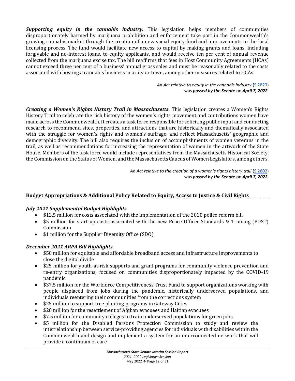*Supporting equity in the cannabis industry.* This legislation helps members of communities disproportionately harmed by marijuana prohibition and enforcement take part in the Commonwealth's growing cannabis market through the creation of a new social equity fund and improvements to the local licensing process. The fund would facilitate new access to capital by making grants and loans, including forgivable and no-interest loans, to equity applicants, and would receive ten per cent of annual revenue collected from the marijuana excise tax. The bill reaffirms that fees in Host Community Agreements (HCAs) cannot exceed three per cent of a business' annual gross sales and must be reasonably related to the costs associated with hosting a cannabis business in a city or town, among other measures related to HCAs.

> *An Act relative to equity in the cannabis industry* [\(S.2823\)](https://malegislature.gov/Bills/192/S2823) was *passed by the Senate* on *April 7, 2022*.

*Creating a Women's Rights History Trail in Massachusetts.* This legislation creates a Women's Rights History Trail to celebrate the rich history of the women's rights movement and contributions women have made across the Commonwealth. It creates a task force responsible for soliciting public input and conducting research to recommend sites, properties, and attractions that are historically and thematically associated with the struggle for women's rights and women's suffrage, and reflect Massachusetts' geographic and demographic diversity. The bill also requires the inclusion of accomplishments of women veterans in the trail, as well as recommendations for increasing the representation of women in the artwork of the State House. Members of the task force would include representatives from the Massachusetts Historical Society, the Commission on the Status of Women, and the Massachusetts Caucus of Women Legislators, among others.

> *An Act relative to the creation of a women's rights history trail* [\(S.2802\)](https://malegislature.gov/Bills/192/S2802) was *passed by the Senate* on *April 7, 2022*.

#### **Budget Appropriations & Additional Policy Related to Equity, Access to Justice & Civil Rights**

#### *July 2021 Supplemental Budget Highlights*

- \$12.5 million for costs associated with the implementation of the 2020 police reform bill
- \$5 million for start-up costs associated with the new Peace Officer Standards & Training (POST) Commission
- \$1 million for the Supplier Diversity Office (SDO)

#### *December 2021 ARPA Bill Highlights*

- \$50 million for equitable and affordable broadband access and infrastructure improvements to close the digital divide
- \$25 million for youth-at-risk supports and grant programs for community violence prevention and re-entry organizations, focused on communities disproportionately impacted by the COVID-19 pandemic
- \$37.5 million for the Workforce Competitiveness Trust Fund to support organizations working with people displaced from jobs during the pandemic, historically underserved populations, and individuals reentering their communities from the corrections system
- \$25 million to support tree planting programs in Gateway Cities
- \$20 million for the resettlement of Afghan evacuees and Haitian evacuees
- \$7.5 million for community colleges to train underserved populations for green jobs
- \$5 million for the Disabled Persons Protection Commission to study and review the interrelationship between service-providing agencies for individuals with disabilities within the Commonwealth and design and implement a system for an interconnected network that will provide a continuum of care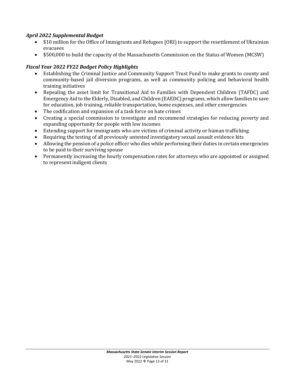#### *April 2022 Supplemental Budget*

- \$10 million for the Office of Immigrants and Refugees (ORI) to support the resettlement of Ukrainian evacuees
- \$500,000 to build the capacity of the Massachusetts Commission on the Status of Women (MCSW)

#### *Fiscal Year 2022 FY22 Budget Policy Highlights*

- Establishing the Criminal Justice and Community Support Trust Fund to make grants to county and community-based jail diversion programs, as well as community policing and behavioral health training initiatives
- Repealing the asset limit for Transitional Aid to Families with Dependent Children (TAFDC) and Emergency Aid to the Elderly, Disabled, and Children (EAEDC) programs, which allow families to save for education, job training, reliable transportation, home expenses, and other emergencies
- The codification and expansion of a task force on hate crimes
- Creating a special commission to investigate and recommend strategies for reducing poverty and expanding opportunity for people with low incomes
- Extending support for immigrants who are victims of criminal activity or human trafficking
- Requiring the testing of all previously untested investigatory sexual assault evidence kits
- Allowing the pension of a police officer who dies while performing their duties in certain emergencies to be paid to their surviving spouse
- Permanently increasing the hourly compensation rates for attorneys who are appointed or assigned to represent indigent clients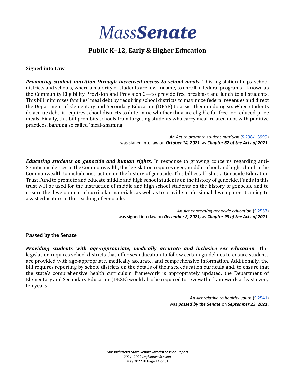#### **Public K–12, Early & Higher Education**

#### **Signed into Law**

*Promoting student nutrition through increased access to school meals.* This legislation helps school districts and schools, where a majority of students are low-income, to enroll in federal programs—known as the Community Eligibility Provision and Provision 2—to provide free breakfast and lunch to all students. This bill minimizes families' meal debt by requiring school districts to maximize federal revenues and direct the Department of Elementary and Secondary Education (DESE) to assist them in doing so. When students do accrue debt, it requires school districts to determine whether they are eligible for free- or reduced-price meals. Finally, this bill prohibits schools from targeting students who carry meal-related debt with punitive practices, banning so called 'meal-shaming.'

> *An Act to promote student nutrition* [\(S.298/H3999\)](https://malegislature.gov/Bills/192/H3999) was signed into law on *October 14, 2021,* as *Chapter 62 of the Acts of 2021*.

*Educating students on genocide and human rights.* In response to growing concerns regarding anti-Semitic incidences in the Commonwealth, this legislation requires every middle school and high school in the Commonwealth to include instruction on the history of genocide. This bill establishes a Genocide Education Trust Fund to promote and educate middle and high school students on the history of genocide. Funds in this trust will be used for the instruction of middle and high school students on the history of genocide and to ensure the development of curricular materials, as well as to provide professional development training to assist educators in the teaching of genocide.

> *An Act concerning genocide education* [\(S.2557\)](https://malegislature.gov/Bills/192/S2557) was signed into law on *December 2, 2021,* as *Chapter 98 of the Acts of 2021*.

**Passed by the Senate**

*Providing students with age-appropriate, medically accurate and inclusive sex education.* This legislation requires school districts that offer sex education to follow certain guidelines to ensure students are provided with age-appropriate, medically accurate, and comprehensive information. Additionally, the bill requires reporting by school districts on the details of their sex education curricula and, to ensure that the state's comprehensive health curriculum framework is appropriately updated, the Department of Elementary and Secondary Education (DESE) would also be required to review the framework at least every ten years.

> *An Act relative to healthy youth* [\(S.2541\)](https://malegislature.gov/Bills/192/S2541) was *passed by the Senate* on *September 23, 2021*.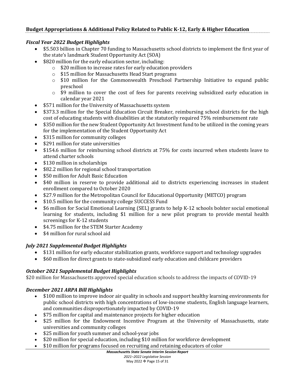#### **Budget Appropriations & Additional Policy Related to Public K-12, Early & Higher Education**

#### *Fiscal Year 2022 Budget Highlights*

- \$5.503 billion in Chapter 70 funding to Massachusetts school districts to implement the first year of the state's landmark Student Opportunity Act (SOA)
- \$820 million for the early education sector, including:
	- o \$20 million to increase rates for early education providers
	- o \$15 million for Massachusetts Head Start programs
	- o \$10 million for the Commonwealth Preschool Partnership Initiative to expand public preschool
	- o \$9 million to cover the cost of fees for parents receiving subsidized early education in calendar year 2021
- \$571 million for the University of Massachusetts system
- \$373.3 million for the Special Education Circuit Breaker, reimbursing school districts for the high cost of educating students with disabilities at the statutorily required 75% reimbursement rate
- \$350 million for the new Student Opportunity Act Investment fund to be utilized in the coming years for the implementation of the Student Opportunity Act
- \$315 million for community colleges
- \$291 million for state universities
- \$154.6 million for reimbursing school districts at 75% for costs incurred when students leave to attend charter schools
- \$130 million in scholarships
- \$82.2 million for regional school transportation
- \$50 million for Adult Basic Education
- \$40 million in reserve to provide additional aid to districts experiencing increases in student enrollment compared to October 2020
- \$27.9 million for the Metropolitan Council for Educational Opportunity (METCO) program
- \$10.5 million for the community college SUCCESS Fund
- \$6 million for Social Emotional Learning (SEL) grants to help K-12 schools bolster social emotional learning for students, including \$1 million for a new pilot program to provide mental health screenings for K-12 students
- \$4.75 million for the STEM Starter Academy
- \$4 million for rural school aid

#### *July 2021 Supplemental Budget Highlights*

- \$131 million for early educator stabilization grants, workforce support and technology upgrades
- \$60 million for direct grants to state-subsidized early education and childcare providers

#### *October 2021 Supplemental Budget Highlights*

\$20 million for Massachusetts approved special education schools to address the impacts of COVID-19

#### *December 2021 ARPA Bill Highlights*

- \$100 million to improve indoor air quality in schools and support healthy learning environments for public school districts with high concentrations of low-income students, English language learners, and communities disproportionately impacted by COVID-19
- \$75 million for capital and maintenance projects for higher education
- \$25 million for the Endowment Incentive Program at the University of Massachusetts, state universities and community colleges
- \$25 million for youth summer and school-year jobs
- \$20 million for special education, including \$10 million for workforce development
- \$10 million for programs focused on recruiting and retaining educators of color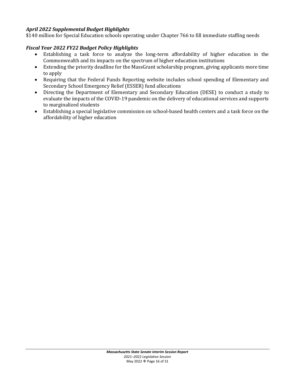#### *April 2022 Supplemental Budget Highlights*

\$140 million for Special Education schools operating under Chapter 766 to fill immediate staffing needs

#### *Fiscal Year 2022 FY22 Budget Policy Highlights*

- Establishing a task force to analyze the long-term affordability of higher education in the Commonwealth and its impacts on the spectrum of higher education institutions
- Extending the priority deadline for the MassGrant scholarship program, giving applicants more time to apply
- Requiring that the Federal Funds Reporting website includes school spending of Elementary and Secondary School Emergency Relief (ESSER) fund allocations
- Directing the Department of Elementary and Secondary Education (DESE) to conduct a study to evaluate the impacts of the COVID-19 pandemic on the delivery of educational services and supports to marginalized students
- Establishing a special legislative commission on school-based health centers and a task force on the affordability of higher education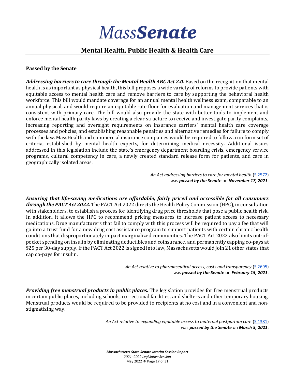#### **Mental Health, Public Health & Health Care**

#### **Passed by the Senate**

*Addressing barriers to care through the Mental Health ABC Act 2.0.* Based on the recognition that mental health is as important as physical health, this bill proposes a wide variety of reforms to provide patients with equitable access to mental health care and remove barriers to care by supporting the behavioral health workforce. This bill would mandate coverage for an annual mental health wellness exam, comparable to an annual physical, and would require an equitable rate floor for evaluation and management services that is consistent with primary care. The bill would also provide the state with better tools to implement and enforce mental health parity laws by creating a clear structure to receive and investigate parity complaints, increasing reporting and oversight requirements on insurance carriers' mental health care coverage processes and policies, and establishing reasonable penalties and alternative remedies for failure to comply with the law. MassHealth and commercial insurance companies would be required to follow a uniform set of criteria, established by mental health experts, for determining medical necessity. Additional issues addressed in this legislation include the state's emergency department boarding crisis, emergency service programs, cultural competency in care, a newly created standard release form for patients, and care in geographically isolated areas.

> An Act addressing barriers to care for mental health [\(S.2572\)](https://malegislature.gov/Bills/192/S2572) was *passed by the Senate* on *November 17, 2021*.

*Ensuring that life-saving medications are affordable, fairly priced and accessible for all consumers through the PACT Act 2022.* The PACT Act 2022 directs the Health Policy Commission (HPC), in consultation with stakeholders, to establish a process for identifying drug price thresholds that pose a public health risk. In addition, it allows the HPC to recommend pricing measures to increase patient access to necessary medications. Drug manufacturers that fail to comply with this process will be required to pay a fee that will go into a trust fund for a new drug cost assistance program to support patients with certain chronic health conditions that disproportionately impact marginalized communities. The PACT Act 2022 also limits out-ofpocket spending on insulin by eliminating deductibles and coinsurance, and permanently capping co-pays at \$25 per 30-day supply. If the PACT Act 2022 is signed into law, Massachusetts would join 21 other states that cap co-pays for insulin.

> *An Act relative to pharmaceutical access, costs and transparency* [\(S.2695\)](https://malegislature.gov/Bills/192/S2695) was *passed by the Senate* on *February 15, 2021*.

*Providing free menstrual products in public places.* The legislation provides for free menstrual products in certain public places, including schools, correctional facilities, and shelters and other temporary housing. Menstrual products would be required to be provided to recipients at no cost and in a convenient and nonstigmatizing way.

> An Act relative to expanding equitable access to maternal postpartum care [\(S.1381\)](https://malegislature.gov/Bills/191/SD1381) was *passed by the Senate* on *March 3, 2021*.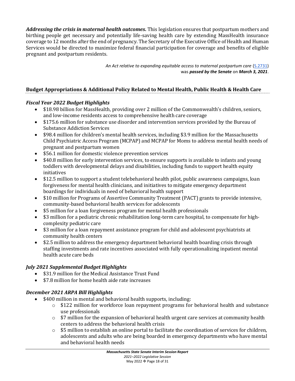*Addressing the crisis in maternal health outcomes.* This legislation ensures that postpartum mothers and birthing people get necessary and potentially life-saving health care by extending MassHealth insurance coverage to 12 months after the end of pregnancy. The Secretary of the Executive Office of Health and Human Services would be directed to maximize federal financial participation for coverage and benefits of eligible pregnant and postpartum residents.

> *An Act relative to expanding equitable access to maternal postpartum care* [\(S.2731\)](https://malegislature.gov/Bills/192/S2731) was *passed by the Senate* on *March 3, 2021*.

#### **Budget Appropriations & Additional Policy Related to Mental Health, Public Health & Health Care**

#### *Fiscal Year 2022 Budget Highlights*

- \$18.98 billion for MassHealth, providing over 2 million of the Commonwealth's children, seniors, and low-income residents access to comprehensive health care coverage
- \$175.6 million for substance use disorder and intervention services provided by the Bureau of Substance Addiction Services
- \$98.4 million for children's mental health services, including \$3.9 million for the Massachusetts Child Psychiatric Access Program (MCPAP) and MCPAP for Moms to address mental health needs of pregnant and postpartum women
- \$56.1 million for domestic violence prevention services
- \$40.8 million for early intervention services, to ensure supports is available to infants and young toddlers with developmental delays and disabilities, including funds to support health equity initiatives
- \$12.5 million to support a student telebehavioral health pilot, public awareness campaigns, loan forgiveness for mental health clinicians, and initiatives to mitigate emergency department boardings for individuals in need of behavioral health support
- \$10 million for Programs of Assertive Community Treatment (PACT) grants to provide intensive, community-based behavioral health services for adolescents
- \$5 million for a loan forgiveness program for mental health professionals
- \$3 million for a pediatric chronic rehabilitation long-term care hospital, to compensate for highcomplexity pediatric care
- \$3 million for a loan repayment assistance program for child and adolescent psychiatrists at community health centers
- \$2.5 million to address the emergency department behavioral health boarding crisis through staffing investments and rate incentives associated with fully operationalizing inpatient mental health acute care beds

#### *July 2021 Supplemental Budget Highlights*

- \$31.9 million for the Medical Assistance Trust Fund
- \$7.8 million for home health aide rate increases

#### *December 2021 ARPA Bill Highlights*

- \$400 million in mental and behavioral health supports, including:
	- $\circ$  \$122 million for workforce loan repayment programs for behavioral health and substance use professionals
	- o \$7 million for the expansion of behavioral health urgent care services at community health centers to address the behavioral health crisis
	- $\circ$  \$5 million to establish an online portal to facilitate the coordination of services for children, adolescents and adults who are being boarded in emergency departments who have mental and behavioral health needs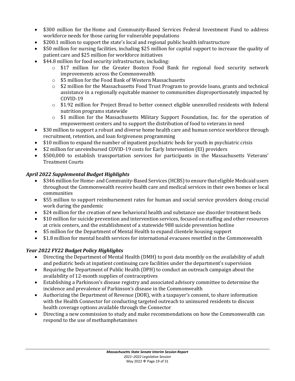- \$300 million for the Home and Community-Based Services Federal Investment Fund to address workforce needs for those caring for vulnerable populations
- \$200.1 million to support the state's local and regional public health infrastructure
- \$50 million for nursing facilities, including \$25 million for capital support to increase the quality of patient care and \$25 million for workforce initiatives
- \$44.8 million for food security infrastructure, including:
	- o \$17 million for the Greater Boston Food Bank for regional food security network improvements across the Commonwealth
	- o \$5 million for the Food Bank of Western Massachusetts
	- $\circ$  \$2 million for the Massachusetts Food Trust Program to provide loans, grants and technical assistance in a regionally equitable manner to communities disproportionately impacted by COVID-19
	- $\circ$  \$1.92 million for Project Bread to better connect eligible unenrolled residents with federal nutrition programs statewide
	- o \$1 million for the Massachusetts Military Support Foundation, Inc. for the operation of empowerment centers and to support the distribution of food to veterans in need
- \$30 million to support a robust and diverse home health care and human service workforce through recruitment, retention, and loan forgiveness programming
- \$10 million to expand the number of inpatient psychiatric beds for youth in psychiatric crisis
- \$2 million for unreimbursed COVID-19 costs for Early Intervention (EI) providers
- \$500,000 to establish transportation services for participants in the Massachusetts Veterans' Treatment Courts

#### *April 2022 Supplemental Budget Highlights*

- \$346 million for Home- and Community-Based Services (HCBS) to ensure that eligible Medicaid users throughout the Commonwealth receive health care and medical services in their own homes or local communities
- \$55 million to support reimbursement rates for human and social service providers doing crucial work during the pandemic
- \$24 million for the creation of new behavioral health and substance use disorder treatment beds
- \$10 million for suicide prevention and intervention services, focused on staffing and other resources at crisis centers, and the establishment of a statewide 988 suicide prevention hotline
- \$5 million for the Department of Mental Health to expand clientele housing support
- \$1.8 million for mental health services for international evacuees resettled in the Commonwealth

#### *Year 2022 FY22 Budget Policy Highlights*

- Directing the Department of Mental Health (DMH) to post data monthly on the availability of adult and pediatric beds at inpatient continuing care facilities under the department's supervision
- Requiring the Department of Public Health (DPH) to conduct an outreach campaign about the availability of 12-month supplies of contraceptives
- Establishing a Parkinson's disease registry and associated advisory committee to determine the incidence and prevalence of Parkinson's disease in the Commonwealth
- Authorizing the Department of Revenue (DOR), with a taxpayer's consent, to share information with the Health Connector for conducting targeted outreach to uninsured residents to discuss health coverage options available through the Connector
- Directing a new commission to study and make recommendations on how the Commonwealth can respond to the use of methamphetamines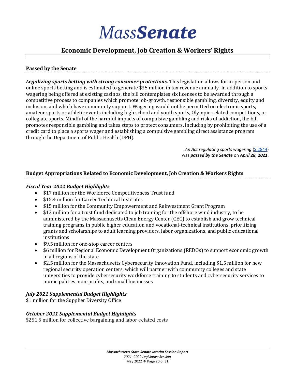#### **Economic Development, Job Creation & Workers' Rights**

#### **Passed by the Senate**

*Legalizing sports betting with strong consumer protections.* This legislation allows for in-person and online sports betting and is estimated to generate \$35 million in tax revenue annually. In addition to sports wagering being offered at existing casinos, the bill contemplates six licenses to be awarded through a competitive process to companies which promote job-growth, responsible gambling, diversity, equity and inclusion, and which have community support. Wagering would not be permitted on electronic sports, amateur sports or athletic events including high school and youth sports, Olympic-related competitions, or collegiate sports. Mindful of the harmful impacts of compulsive gambling and risks of addiction, the bill promotes responsible gambling and takes steps to protect consumers, including by prohibiting the use of a credit card to place a sports wager and establishing a compulsive gambling direct assistance program through the Department of Public Health (DPH).

> *An Act regulating sports wagering* [\(S.2844\)](https://malegislature.gov/Bills/192/S2844) was *passed by the Senate* on *April 28, 2021*.

#### **Budget Appropriations Related to Economic Development, Job Creation & Workers Rights**

#### *Fiscal Year 2022 Budget Highlights*

- \$17 million for the Workforce Competitiveness Trust fund
- \$15.4 million for Career Technical Institutes
- \$15 million for the Community Empowerment and Reinvestment Grant Program
- \$13 million for a trust fund dedicated to job training for the offshore wind industry, to be administered by the Massachusetts Clean Energy Center (CEC) to establish and grow technical training programs in public higher education and vocational-technical institutions, prioritizing grants and scholarships to adult learning providers, labor organizations, and public educational institutions
- \$9.5 million for one-stop career centers
- \$6 million for Regional Economic Development Organizations (REDOs) to support economic growth in all regions of the state
- \$2.5 million for the Massachusetts Cybersecurity Innovation Fund, including \$1.5 million for new regional security operation centers, which will partner with community colleges and state universities to provide cybersecurity workforce training to students and cybersecurity services to municipalities, non-profits, and small businesses

#### *July 2021 Supplemental Budget Highlights*

\$1 million for the Supplier Diversity Office

#### *October 2021 Supplemental Budget Highlights*

\$251.5 million for collective bargaining and labor-related costs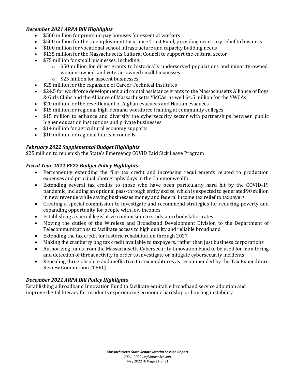#### *December 2021 ARPA Bill Highlights*

- \$500 million for premium pay bonuses for essential workers
- \$500 million for the Unemployment Insurance Trust Fund, providing necessary relief to business
- \$100 million for vocational school infrastructure and capacity building needs
- \$135 million for the Massachusetts Cultural Council to support the cultural sector
- \$75 million for small businesses, including:
	- o \$50 million for direct grants to historically underserved populations and minority-owned, women-owned, and veteran-owned small businesses
	- o \$25 million for nascent businesses
- \$25 million for the expansion of Career Technical Institutes
- \$24.5 for workforce development and capital assistance grants to the Massachusetts Alliance of Boys & Girls Clubs and the Alliance of Massachusetts YMCAs, as well \$4.5 million for the YWCAs
- \$20 million for the resettlement of Afghan evacuees and Haitian evacuees
- \$15 million for regional high-demand workforce training at community colleges
- \$15 million to enhance and diversify the cybersecurity sector with partnerships between public higher education institutions and private businesses
- \$14 million for agricultural economy supports
- \$10 million for regional tourism councils

#### *February 2022 Supplemental Budget Highlights*

\$25 million to replenish the State's Emergency COVID Paid Sick Leave Program

#### *Fiscal Year 2022 FY22 Budget Policy Highlights*

- Permanently extending the film tax credit and increasing requirements related to production expenses and principal photography days in the Commonwealth
- Extending several tax credits to those who have been particularly hard hit by the COVID-19 pandemic, including an optional pass-through entity excise, which is expected to generate \$90 million in new revenue while saving businesses money and federal income tax relief to taxpayers
- Creating a special commission to investigate and recommend strategies for reducing poverty and expanding opportunity for people with low incomes
- Establishing a special legislative commission to study auto body labor rates
- Moving the duties of the Wireless and Broadband Development Division to the Department of Telecommunications to facilitate access to high quality and reliable broadband
- Extending the tax credit for historic rehabilitation through 2027
- Making the cranberry bog tax credit available to taxpayers, rather than just business corporations
- Authorizing funds from the Massachusetts Cybersecurity Innovation Fund to be used for monitoring and detection of threat activity in order to investigate or mitigate cybersecurity incidents
- Repealing three obsolete and ineffective tax expenditures as recommended by the Tax Expenditure Review Commission (TERC)

#### *December 2021 ARPA Bill Policy Highlights*

Establishing a Broadband Innovation Fund to facilitate equitable broadband service adoption and improve digital literacy for residents experiencing economic hardship or housing instability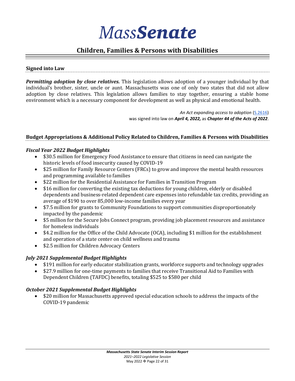

#### **Children, Families & Persons with Disabilities**

#### **Signed into Law**

*Permitting adoption by close relatives.* This legislation allows adoption of a younger individual by that individual's brother, sister, uncle or aunt. Massachusetts was one of only two states that did not allow adoption by close relatives. This legislation allows families to stay together, ensuring a stable home environment which is a necessary component for development as well as physical and emotional health.

> *An Act expanding access to adoption* [\(S.2616\)](https://malegislature.gov/Bills/192/S2616) was signed into law on *April 4, 2022,* as *Chapter 44 of the Acts of 2022*.

#### **Budget Appropriations & Additional Policy Related to Children, Families & Persons with Disabilities**

#### *Fiscal Year 2022 Budget Highlights*

- \$30.5 million for Emergency Food Assistance to ensure that citizens in need can navigate the historic levels of food insecurity caused by COVID-19
- \$25 million for Family Resource Centers (FRCs) to grow and improve the mental health resources and programming available to families
- \$22 million for the Residential Assistance for Families in Transition Program
- \$16 million for converting the existing tax deductions for young children, elderly or disabled dependents and business-related dependent care expenses into refundable tax credits, providing an average of \$190 to over 85,000 low-income families every year
- \$7.5 million for grants to Community Foundations to support communities disproportionately impacted by the pandemic
- \$5 million for the Secure Jobs Connect program, providing job placement resources and assistance for homeless individuals
- \$4.2 million for the Office of the Child Advocate (OCA), including \$1 million for the establishment and operation of a state center on child wellness and trauma
- \$2.5 million for Children Advocacy Centers

#### *July 2021 Supplemental Budget Highlights*

- \$191 million for early educator stabilization grants, workforce supports and technology upgrades
- \$27.9 million for one-time payments to families that receive Transitional Aid to Families with Dependent Children (TAFDC) benefits, totaling \$525 to \$580 per child

#### *October 2021 Supplemental Budget Highlights*

• \$20 million for Massachusetts approved special education schools to address the impacts of the COVID-19 pandemic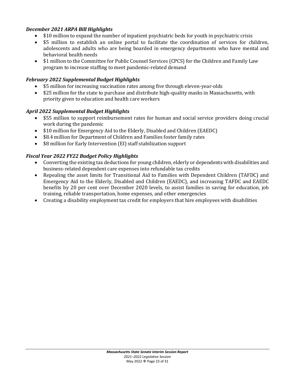#### *December 2021 ARPA Bill Highlights*

- \$10 million to expand the number of inpatient psychiatric beds for youth in psychiatric crisis
- \$5 million to establish an online portal to facilitate the coordination of services for children, adolescents and adults who are being boarded in emergency departments who have mental and behavioral health needs
- \$1 million to the Committee for Public Counsel Services (CPCS) for the Children and Family Law program to increase staffing to meet pandemic-related demand

#### *February 2022 Supplemental Budget Highlights*

- \$5 million for increasing vaccination rates among five through eleven-year-olds
- \$25 million for the state to purchase and distribute high-quality masks in Massachusetts, with priority given to education and health care workers

#### *April 2022 Supplemental Budget Highlights*

- \$55 million to support reimbursement rates for human and social service providers doing crucial work during the pandemic
- \$10 million for Emergency Aid to the Elderly, Disabled and Children (EAEDC)
- \$8.4 million for Department of Children and Families foster family rates
- \$8 million for Early Intervention (EI) staff stabilization support

#### *Fiscal Year 2022 FY22 Budget Policy Highlights*

- Converting the existing tax deductions for young children, elderly or dependents with disabilities and business-related dependent care expenses into refundable tax credits
- Repealing the asset limits for Transitional Aid to Families with Dependent Children (TAFDC) and Emergency Aid to the Elderly, Disabled and Children (EAEDC), and increasing TAFDC and EAEDC benefits by 20 per cent over December 2020 levels, to assist families in saving for education, job training, reliable transportation, home expenses, and other emergencies
- Creating a disability employment tax credit for employers that hire employees with disabilities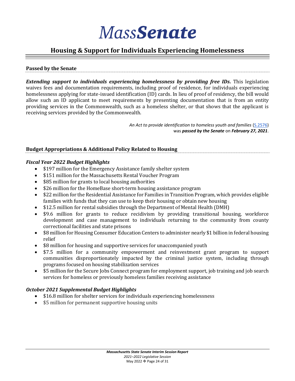#### **Housing & Support for Individuals Experiencing Homelessness**

#### **Passed by the Senate**

*Extending support to individuals experiencing homelessness by providing free IDs.* This legislation waives fees and documentation requirements, including proof of residence, for individuals experiencing homelessness applying for state-issued identification (ID) cards. In lieu of proof of residency, the bill would allow such an ID applicant to meet requirements by presenting documentation that is from an entity providing services in the Commonwealth, such as a homeless shelter, or that shows that the applicant is receiving services provided by the Commonwealth.

> *An Act to provide identification to homeless youth and families* [\(S.2576\)](https://malegislature.gov/Bills/191/S2576) was *passed by the Senate* on *February 27, 2021*.

#### **Budget Appropriations & Additional Policy Related to Housing**

#### *Fiscal Year 2022 Budget Highlights*

- \$197 million for the Emergency Assistance family shelter system
- \$151 million for the Massachusetts Rental Voucher Program
- \$85 million for grants to local housing authorities
- \$26 million for the HomeBase short-term housing assistance program
- \$22 million for the Residential Assistance for Families in Transition Program, which provides eligible families with funds that they can use to keep their housing or obtain new housing
- \$12.5 million for rental subsidies through the Department of Mental Health (DMH)
- \$9.6 million for grants to reduce recidivism by providing transitional housing, workforce development and case management to individuals returning to the community from county correctional facilities and state prisons
- \$8 million for Housing Consumer Education Centers to administer nearly \$1 billion in federal housing relief
- \$8 million for housing and supportive services for unaccompanied youth
- \$7.5 million for a community empowerment and reinvestment grant program to support communities disproportionately impacted by the criminal justice system, including through programs focused on housing stabilization services
- \$5 million for the Secure Jobs Connect program for employment support, job training and job search services for homeless or previously homeless families receiving assistance

#### *October 2021 Supplemental Budget Highlights*

- \$16.8 million for shelter services for individuals experiencing homelessness
- \$5 million for permanent supportive housing units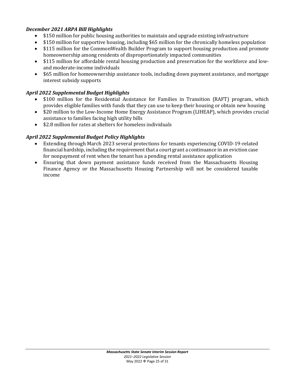#### *December 2021 ARPA Bill Highlights*

- \$150 million for public housing authorities to maintain and upgrade existing infrastructure
- \$150 million for supportive housing, including \$65 million for the chronically homeless population
- \$115 million for the CommonWealth Builder Program to support housing production and promote homeownership among residents of disproportionately impacted communities
- \$115 million for affordable rental housing production and preservation for the workforce and lowand moderate-income individuals
- \$65 million for homeownership assistance tools, including down payment assistance, and mortgage interest subsidy supports

#### *April 2022 Supplemental Budget Highlights*

- \$100 million for the Residential Assistance for Families in Transition (RAFT) program, which provides eligible families with funds that they can use to keep their housing or obtain new housing
- \$20 million to the Low-Income Home Energy Assistance Program (LIHEAP), which provides crucial assistance to families facing high utility bills
- \$2.8 million for rates at shelters for homeless individuals

#### *April 2022 Supplemental Budget Policy Highlights*

- Extending through March 2023 several protections for tenants experiencing COVID-19-related financial hardship, including the requirement that a court grant a continuance in an eviction case for nonpayment of rent when the tenant has a pending rental assistance application
- Ensuring that down payment assistance funds received from the Massachusetts Housing Finance Agency or the Massachusetts Housing Partnership will not be considered taxable income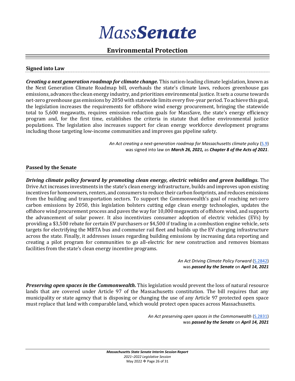#### **Environmental Protection**

#### **Signed into Law**

*Creating a next generation roadmap for climate change.* This nation-leading climate legislation, known as the Next Generation Climate Roadmap bill, overhauls the state's climate laws, reduces greenhouse gas emissions, advances the clean energy industry, and prioritizes environmental justice. It sets a course towards net-zero greenhouse gas emissions by 2050 with statewide limits every five-year period. To achieve this goal, the legislation increases the requirements for offshore wind energy procurement, bringing the statewide total to 5,600 megawatts, requires emission reduction goals for MassSave, the state's energy efficiency program and, for the first time, establishes the criteria in statute that define environmental justice populations. The legislation also increases support for clean energy workforce development programs including those targeting low-income communities and improves gas pipeline safety.

> An Act creating a next-generation roadmap for Massachusetts climate policy [\(S.9\)](https://malegislature.gov/Bills/192/S9) was signed into law on *March 26, 2021,* as *Chapter 8 of the Acts of 2021*.

#### **Passed by the Senate**

*Driving climate policy forward by promoting clean energy, electric vehicles and green buildings.* The Drive Act increases investments in the state's clean energy infrastructure, builds and improves upon existing incentives for homeowners, renters, and consumers to reduce their carbon footprints, and reduces emissions from the building and transportation sectors. To support the Commonwealth's goal of reaching net-zero carbon emissions by 2050, this legislation bolsters cutting edge clean energy technologies, updates the offshore wind procurement process and paves the way for 10,000 megawatts of offshore wind, and supports the advancement of solar power. It also incentivizes consumer adoption of electric vehicles (EVs) by providing a \$3,500 rebate for certain EV purchasers or \$4,500 if trading in a combustion engine vehicle, sets targets for electrifying the MBTA bus and commuter rail fleet and builds up the EV charging infrastructure across the state. Finally, it addresses issues regarding building emissions by increasing data reporting and creating a pilot program for communities to go all-electric for new construction and removes biomass facilities from the state's clean energy incentive programs.

> *An Act Driving Climate Policy Forward* [\(S.2842\)](https://malegislature.gov/Bills/191/S2842) was *passed by the Senate* on *April 14, 2021*

*Preserving open spaces in the Commonwealth.* This legislation would prevent the loss of natural resource lands that are covered under Article 97 of the Massachusetts constitution. The bill requires that any municipality or state agency that is disposing or changing the use of any Article 97 protected open space must replace that land with comparable land, which would protect open spaces across Massachusetts.

> *An Act preserving open spaces in the Commonwealth* [\(S.2831\)](https://malegislature.gov/Bills/192/S2831) was *passed by the Senate* on *April 14, 2021*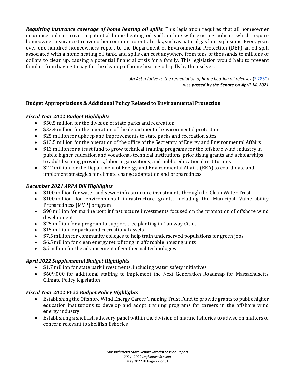*Requiring insurance coverage of home heating oil spills.* This legislation requires that all homeowner insurance policies cover a potential home heating oil spill, in line with existing policies which require homeowner insurance to cover other common potential risks, such as natural gas line explosions. Every year, over one hundred homeowners report to the Department of Environmental Protection (DEP) an oil spill associated with a home heating oil tank, and spills can cost anywhere from tens of thousands to millions of dollars to clean up, causing a potential financial crisis for a family. This legislation would help to prevent families from having to pay for the cleanup of home heating oil spills by themselves.

> *An Act relative to the remediation of home heating oil releases* [\(S.2830\)](https://malegislature.gov/Bills/192/S2830) was *passed by the Senate* on *April 14, 2021*

#### **Budget Appropriations & Additional Policy Related to Environmental Protection**

#### *Fiscal Year 2022 Budget Highlights*

- \$50.5 million for the division of state parks and recreation
- \$33.4 million for the operation of the department of environmental protection
- \$25 million for upkeep and improvements to state parks and recreation sites
- \$13.5 million for the operation of the office of the Secretary of Energy and Environmental Affairs
- \$13 million for a trust fund to grow technical training programs for the offshore wind industry in public higher education and vocational-technical institutions, prioritizing grants and scholarships to adult learning providers, labor organizations, and public educational institutions
- \$2.2 million for the Department of Energy and Environmental Affairs (EEA) to coordinate and implement strategies for climate change adaptation and preparedness

#### *December 2021 ARPA Bill Highlights*

- \$100 million for water and sewer infrastructure investments through the Clean Water Trust
- \$100 million for environmental infrastructure grants, including the Municipal Vulnerability Preparedness (MVP) program
- \$90 million for marine port infrastructure investments focused on the promotion of offshore wind development
- \$25 million for a program to support tree planting in Gateway Cities
- \$15 million for parks and recreational assets
- \$7.5 million for community colleges to help train underserved populations for green jobs
- \$6.5 million for clean energy retrofitting in affordable housing units
- \$5 million for the advancement of geothermal technologies

#### *April 2022 Supplemental Budget Highlights*

- \$1.7 million for state park investments, including water safety initiatives
- \$609,000 for additional staffing to implement the Next Generation Roadmap for Massachusetts Climate Policy legislation

#### *Fiscal Year 2022 FY22 Budget Policy Highlights*

- Establishing the Offshore Wind Energy Career Training Trust Fund to provide grants to public higher education institutions to develop and adopt training programs for careers in the offshore wind energy industry
- Establishing a shellfish advisory panel within the division of marine fisheries to advise on matters of concern relevant to shellfish fisheries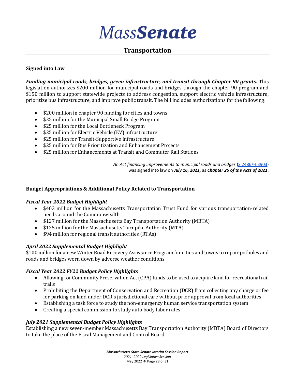#### **Transportation**

#### **Signed into Law**

*Funding municipal roads, bridges, green infrastructure, and transit through Chapter 90 grants.* This legislation authorizes \$200 million for municipal roads and bridges through the chapter 90 program and \$150 million to support statewide projects to address congestion, support electric vehicle infrastructure, prioritize bus infrastructure, and improve public transit. The bill includes authorizations for the following:

- \$200 million in chapter 90 funding for cities and towns
- \$25 million for the Municipal Small Bridge Program
- \$25 million for the Local Bottleneck Program
- \$25 million for Electric Vehicle (EV) infrastructure
- \$25 million for Transit-Supportive Infrastructure
- \$25 million for Bus Prioritization and Enhancement Projects
- \$25 million for Enhancements at Transit and Commuter Rail Stations

*An Act financing improvements to municipal roads and bridges* [\(S.2486/H.3903\)](https://malegislature.gov/Bills/192/H3903/BillHistory?pageNumber=1) was signed into law on *July 16, 2021,* as *Chapter 25 of the Acts of 2021*.

#### **Budget Appropriations & Additional Policy Related to Transportation**

#### *Fiscal Year 2022 Budget Highlight*

- \$403 million for the Massachusetts Transportation Trust Fund for various transportation-related needs around the Commonwealth
- \$127 million for the Massachusetts Bay Transportation Authority (MBTA)
- \$125 million for the Massachusetts Turnpike Authority (MTA)
- \$94 million for regional transit authorities (RTAs)

#### *April 2022 Supplemental Budget Highlight*

\$100 million for a new Winter Road Recovery Assistance Program for cities and towns to repair potholes and roads and bridges worn down by adverse weather conditions

#### *Fiscal Year 2022 FY22 Budget Policy Highlights*

- Allowing for Community Preservation Act (CPA) funds to be used to acquire land for recreational rail trails
- Prohibiting the Department of Conservation and Recreation (DCR) from collecting any charge or fee for parking on land under DCR's jurisdictional care without prior approval from local authorities
- Establishing a task force to study the non-emergency human service transportation system
- Creating a special commission to study auto body labor rates

#### *July 2021 Supplemental Budget Policy Highlights*

Establishing a new seven-member Massachusetts Bay Transportation Authority (MBTA) Board of Directors to take the place of the Fiscal Management and Control Board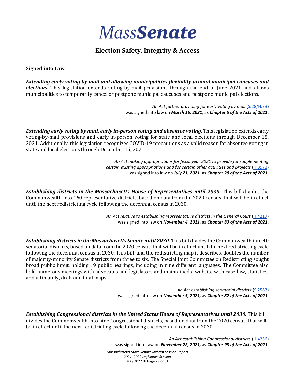#### **Election Safety, Integrity & Access**

#### **Signed into Law**

*Extending early voting by mail and allowing municipalities flexibility around municipal caucuses and elections.* This legislation extends voting-by-mail provisions through the end of June 2021 and allows municipalities to temporarily cancel or postpone municipal caucuses and postpone municipal elections.

> *An Act further providing for early voting by mail* [\(S.28/H.73\)](https://malegislature.gov/Bills/192/H73) was signed into law on *March 16, 2021*, as *Chapter 5 of the Acts of 2021*.

*Extending early voting by mail, early in-person voting and absentee voting.* This legislation extends early voting-by-mail provisions and early in-person voting for state and local elections through December 15, 2021. Additionally, this legislation recognizes COVID-19 precautions as a valid reason for absentee voting in state and local elections through December 15, 2021.

> *An Act making appropriations for fiscal year 2021 to provide for supplementing certain existing appropriations and for certain other activities and projects* [\(H.3973\)](https://malegislature.gov/Bills/192/H3973/BillHistory) was signed into law on *July 21, 2021,* as *Chapter 29 of the Acts of 2021*.

*Establishing districts in the Massachusetts House of Representatives until 2030.* **This bill divides the** Commonwealth into 160 representative districts, based on data from the 2020 census, that will be in effect until the next redistricting cycle following the decennial census in 2030.

> An Act relative to establishing representative districts in the General Court [\(H.4217\)](mailto:https://malegislature.gov/Bills/192/H4217) was signed into law on *November 4, 2021,* as *Chapter 83 of the Acts of 2021*.

Establishing districts in the Massachusetts Senate until 2030. This bill divides the Commonwealth into 40 senatorial districts, based on data from the 2020 census, that will be in effect until the next redistricting cycle following the decennial census in 2030. This bill, and the redistricting map it describes, doubles the number of majority-minority Senate districts from three to six. The Special Joint Committee on Redistricting sought broad public input, holding 19 public hearings, including in nine different languages. The Committee also held numerous meetings with advocates and legislators and maintained a website with case law, statistics, and ultimately, draft and final maps.

> *An Act establishing senatorial districts* [\(S.2563\)](https://malegislature.gov/Bills/192/S2563) was signed into law on *November 5, 2021,* as *Chapter 82 of the Acts of 2021*.

*Establishing Congressional districts in the United States House of Representatives until 2030.* This bill divides the Commonwealth into nine Congressional districts, based on data from the 2020 census, that will be in effect until the next redistricting cycle following the decennial census in 2030.

> *An Act establishing Congressional districts* [\(H.4256\)](https://malegislature.gov/Bills/192/H4256/Congressional) was signed into law on *November 22, 2021,* as *Chapter 93 of the Acts of 2021*.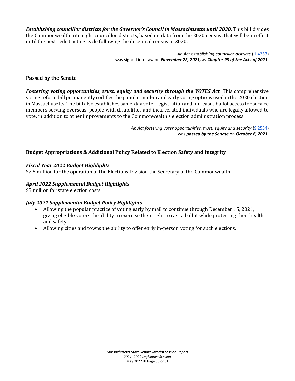*Establishing councillor districts for the Governor's Council in Massachusetts until 2030.* This bill divides the Commonwealth into eight councillor districts, based on data from the 2020 census, that will be in effect until the next redistricting cycle following the decennial census in 2030.

> *An Act establishing councillor districts* [\(H.4257\)](https://malegislature.gov/Bills/192/H4257) was signed into law on *November 22, 2021,* as *Chapter 93 of the Acts of 2021*.

#### **Passed by the Senate**

*Fostering voting opportunities, trust, equity and security through the VOTES Act.* This comprehensive voting reform bill permanently codifies the popular mail-in and early voting options used in the 2020 election in Massachusetts. The bill also establishes same-day voter registration and increases ballot access for service members serving overseas, people with disabilities and incarcerated individuals who are legally allowed to vote, in addition to other improvements to the Commonwealth's election administration process.

> An Act fostering voter opportunities, trust, equity and security [\(S.2554\)](https://malegislature.gov/Bills/192/S2554) was *passed by the Senate* on *October 6, 2021*.

#### **Budget Appropriations & Additional Policy Related to Election Safety and Integrity**

#### *Fiscal Year 2022 Budget Highlights*

\$7.5 million for the operation of the Elections Division the Secretary of the Commonwealth

#### *April 2022 Supplemental Budget Highlights*

\$5 million for state election costs

#### *July 2021 Supplemental Budget Policy Highlights*

- Allowing the popular practice of voting early by mail to continue through December 15, 2021, giving eligible voters the ability to exercise their right to cast a ballot while protecting their health and safety
- Allowing cities and towns the ability to offer early in-person voting for such elections.